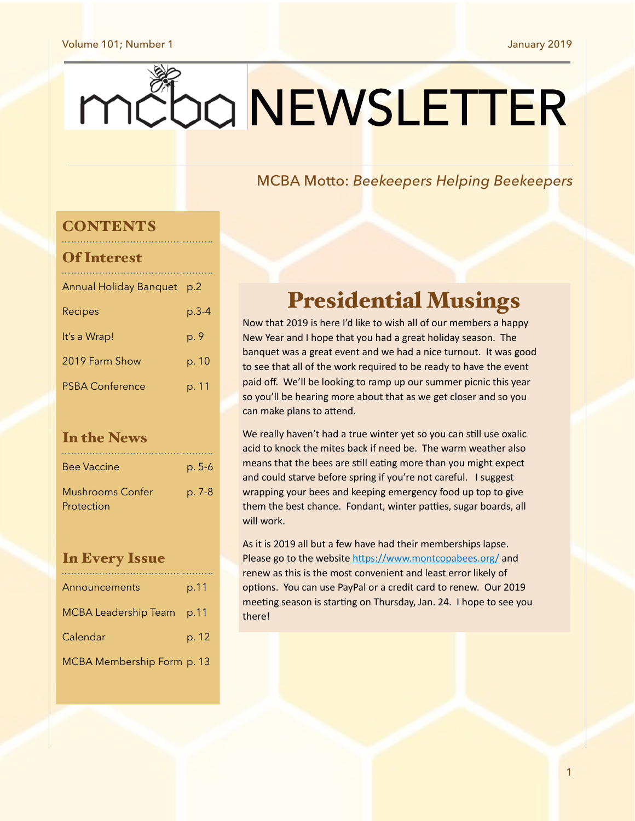#### Volume 101; Number 1 January 2019

# mc0a NEWSLETTER

### MCBA Motto: *Beekeepers Helping Beekeepers*

### **CONTENTS**

| <b>Of Interest</b>            |       |
|-------------------------------|-------|
| <b>Annual Holiday Banquet</b> | p.2   |
| Recipes                       | p.3-4 |
| It's a Wrap!                  | p. 9  |
| 2019 Farm Show                | p. 10 |
| <b>PSBA Conference</b>        | p. 11 |
|                               |       |

### In the News

| <b>Bee Vaccine</b>      | $p. 5-6$ |
|-------------------------|----------|
| <b>Mushrooms Confer</b> | p. 7-8   |
| Protection              |          |

### In Every Issue

| Announcements               | p.11  |
|-----------------------------|-------|
| <b>MCBA Leadership Team</b> | p.11  |
| Calendar                    | p. 12 |
| MCBA Membership Form p. 13  |       |

## Presidential Musings

Now that 2019 is here I'd like to wish all of our members a happy New Year and I hope that you had a great holiday season. The banquet was a great event and we had a nice turnout. It was good to see that all of the work required to be ready to have the event paid off. We'll be looking to ramp up our summer picnic this year so you'll be hearing more about that as we get closer and so you can make plans to attend.

We really haven't had a true winter yet so you can still use oxalic acid to knock the mites back if need be. The warm weather also means that the bees are still eating more than you might expect and could starve before spring if you're not careful. I suggest wrapping your bees and keeping emergency food up top to give them the best chance. Fondant, winter patties, sugar boards, all will work.

As it is 2019 all but a few have had their memberships lapse. Please go to the website https://www.montcopabees.org/ and renew as this is the most convenient and least error likely of options. You can use PayPal or a credit card to renew. Our 2019 meeting season is starting on Thursday, Jan. 24. I hope to see you there!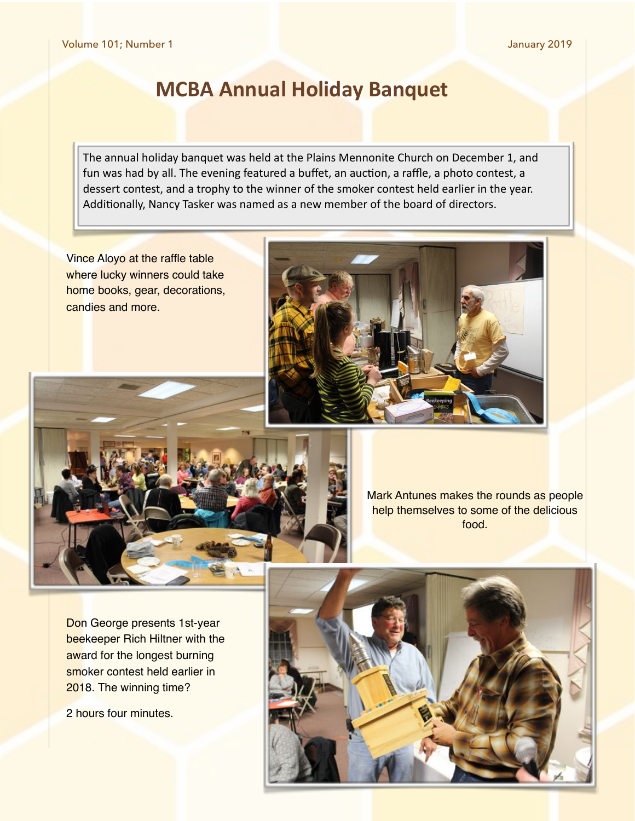### **MCBA Annual Holiday Banquet**

The annual holiday banquet was held at the Plains Mennonite Church on December 1, and fun was had by all. The evening featured a buffet, an auction, a raffle, a photo contest, a dessert contest, and a trophy to the winner of the smoker contest held earlier in the year. Additionally, Nancy Tasker was named as a new member of the board of directors.

Vince Aloyo at the raffle table where lucky winners could take home books, gear, decorations, candies and more.





Mark Antunes makes the rounds as people help themselves to some of the delicious food.

Don George presents 1st-year beekeeper Rich Hiltner with the award for the longest burning smoker contest held earlier in 2018. The winning time?

2 hours four minutes.

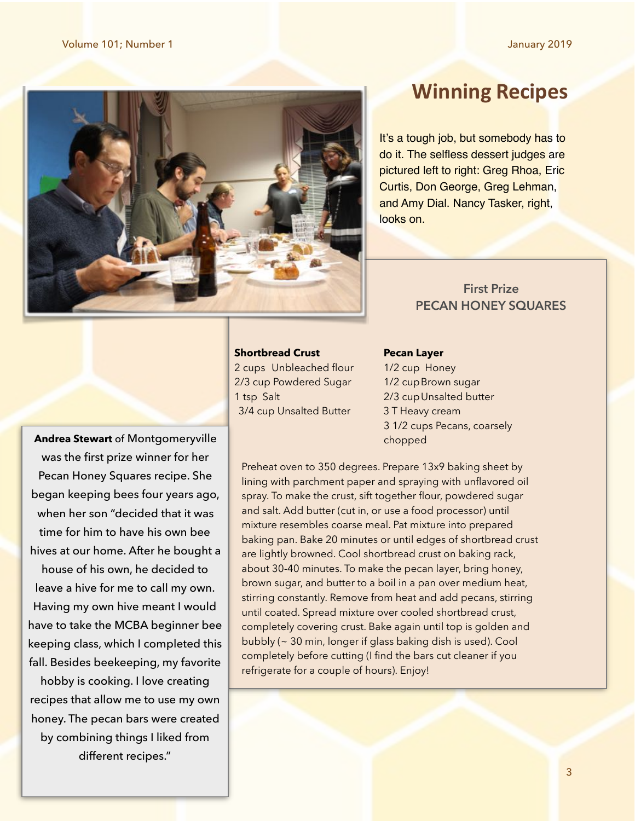

### **Winning Recipes**

It's a tough job, but somebody has to do it. The selfless dessert judges are pictured left to right: Greg Rhoa, Eric Curtis, Don George, Greg Lehman, and Amy Dial. Nancy Tasker, right, looks on.

### **First Prize PECAN HONEY SQUARES**

### **Shortbread Crust Crust Pecan Layer**

2 cups Unbleached flour 1/2 cup Honey 2/3 cup Powdered Sugar 1/2 cup Brown sugar 1 tsp Salt 2/3 cup Unsalted butter 3/4 cup Unsalted Butter 3 T Heavy cream

 3 1/2 cups Pecans, coarsely chopped

**Andrea Stewart** of Montgomeryville was the first prize winner for her Pecan Honey Squares recipe. She began keeping bees four years ago, when her son "decided that it was time for him to have his own bee hives at our home. After he bought a house of his own, he decided to leave a hive for me to call my own. Having my own hive meant I would have to take the MCBA beginner bee keeping class, which I completed this fall. Besides beekeeping, my favorite

hobby is cooking. I love creating recipes that allow me to use my own honey. The pecan bars were created by combining things I liked from different recipes."

Preheat oven to 350 degrees. Prepare 13x9 baking sheet by lining with parchment paper and spraying with unflavored oil spray. To make the crust, sift together flour, powdered sugar and salt. Add butter (cut in, or use a food processor) until mixture resembles coarse meal. Pat mixture into prepared baking pan. Bake 20 minutes or until edges of shortbread crust are lightly browned. Cool shortbread crust on baking rack, about 30-40 minutes. To make the pecan layer, bring honey, brown sugar, and butter to a boil in a pan over medium heat, stirring constantly. Remove from heat and add pecans, stirring until coated. Spread mixture over cooled shortbread crust, completely covering crust. Bake again until top is golden and bubbly (~ 30 min, longer if glass baking dish is used). Cool completely before cutting (I find the bars cut cleaner if you refrigerate for a couple of hours). Enjoy!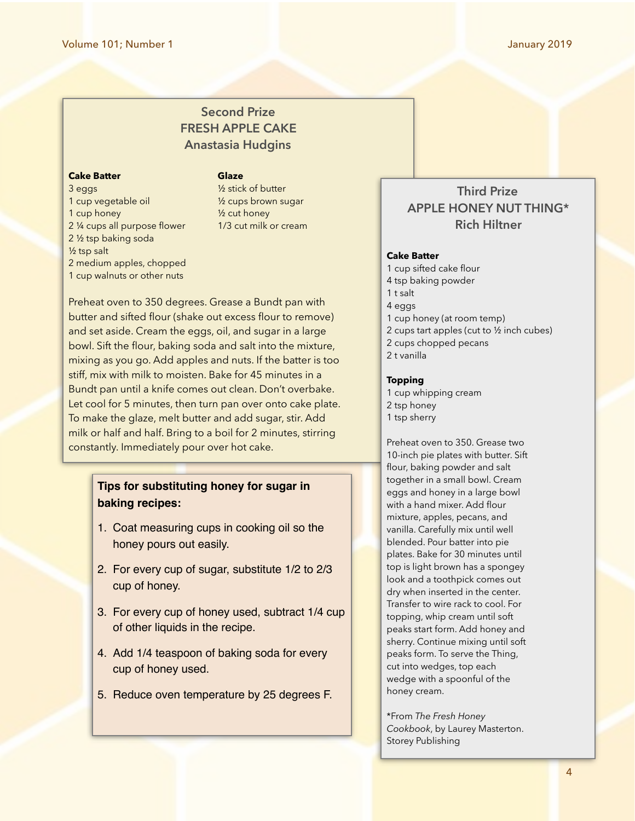### **Second Prize FRESH APPLE CAKE Anastasia Hudgins**

#### **Cake Batter Cake Batter Calaze**

3 eggs ½ stick of butter 1 cup vegetable oil ½ cups brown sugar 1 cup honey 1 cup honey 2 1/4 cups all purpose flower 1/3 cut milk or cream 2 ½ tsp baking soda ½ tsp salt 2 medium apples, chopped 1 cup walnuts or other nuts

Preheat oven to 350 degrees. Grease a Bundt pan with butter and sifted flour (shake out excess flour to remove) and set aside. Cream the eggs, oil, and sugar in a large bowl. Sift the flour, baking soda and salt into the mixture, mixing as you go. Add apples and nuts. If the batter is too stiff, mix with milk to moisten. Bake for 45 minutes in a Bundt pan until a knife comes out clean. Don't overbake. Let cool for 5 minutes, then turn pan over onto cake plate. To make the glaze, melt butter and add sugar, stir. Add milk or half and half. Bring to a boil for 2 minutes, stirring constantly. Immediately pour over hot cake.

### **Tips for substituting honey for sugar in baking recipes:**

- 1. Coat measuring cups in cooking oil so the honey pours out easily.
- 2. For every cup of sugar, substitute 1/2 to 2/3 cup of honey.
- 3. For every cup of honey used, subtract 1/4 cup of other liquids in the recipe.
- 4. Add 1/4 teaspoon of baking soda for every cup of honey used.
- 5. Reduce oven temperature by 25 degrees F.

### **Third Prize APPLE HONEY NUT THING\* Rich Hiltner**

#### **Cake Batter**

1 cup sifted cake flour 4 tsp baking powder 1 t salt 4 eggs 1 cup honey (at room temp) 2 cups tart apples (cut to ½ inch cubes) 2 cups chopped pecans 2 t vanilla

#### **Topping**

1 cup whipping cream 2 tsp honey 1 tsp sherry

Preheat oven to 350. Grease two 10-inch pie plates with butter. Sift flour, baking powder and salt together in a small bowl. Cream eggs and honey in a large bowl with a hand mixer. Add flour mixture, apples, pecans, and vanilla. Carefully mix until well blended. Pour batter into pie plates. Bake for 30 minutes until top is light brown has a spongey look and a toothpick comes out dry when inserted in the center. Transfer to wire rack to cool. For topping, whip cream until soft peaks start form. Add honey and sherry. Continue mixing until soft peaks form. To serve the Thing, cut into wedges, top each wedge with a spoonful of the honey cream.

\*From *The Fresh Honey Cookbook*, by Laurey Masterton. Storey Publishing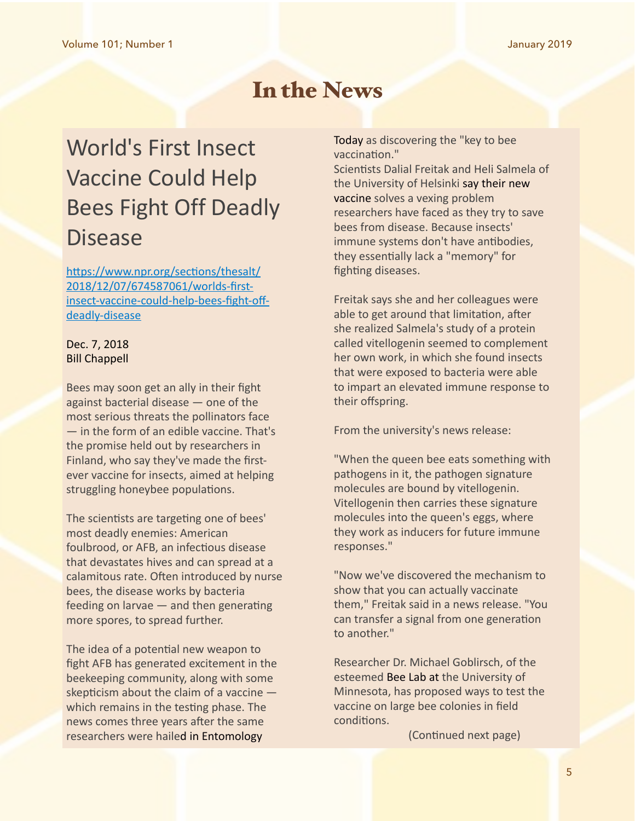### In the News

# World's First Insect **Vaccine Could Help** Bees Fight Off Deadly Disease

https://www.npr.org/sections/thesalt/ [2018/12/07/674587061/worlds-first](https://www.npr.org/sections/thesalt/2018/12/07/674587061/worlds-first-insect-vaccine-could-help-bees-fight-off-deadly-disease)[insect-vaccine-could-help-bees-fight-off](https://www.npr.org/sections/thesalt/2018/12/07/674587061/worlds-first-insect-vaccine-could-help-bees-fight-off-deadly-disease)[deadly-disease](https://www.npr.org/sections/thesalt/2018/12/07/674587061/worlds-first-insect-vaccine-could-help-bees-fight-off-deadly-disease)

### Dec. 7, 2018 **Bill Chappell**

Bees may soon get an ally in their fight against bacterial disease  $-$  one of the most serious threats the pollinators face  $-$  in the form of an edible vaccine. That's the promise held out by researchers in Finland, who say they've made the firstever vaccine for insects, aimed at helping struggling honeybee populations.

The scientists are targeting one of bees' most deadly enemies: American foulbrood, or AFB, an infectious disease that devastates hives and can spread at a calamitous rate. Often introduced by nurse bees, the disease works by bacteria feeding on larvae  $-$  and then generating more spores, to spread further.

The idea of a potential new weapon to fight AFB has generated excitement in the beekeeping community, along with some skepticism about the claim of a vaccine  $$ which remains in the testing phase. The news comes three years after the same researchers were hailed in Entomology

[Today](https://entomologytoday.org/2015/08/03/researchers-discover-key-to-bee-vaccination/) as discovering the "key to bee vaccination."

Scientists Dalial Freitak and Heli Salmela of the University of Helsinki say their new [vaccine](https://www.helsinki.fi/en/news/sustainability-news/the-first-ever-insect-vaccine-primebee-helps-bees-stay-healthy) solves a vexing problem researchers have faced as they try to save bees from disease. Because insects' immune systems don't have antibodies, they essentially lack a "memory" for fighting diseases.

Freitak says she and her colleagues were able to get around that limitation, after she realized Salmela's study of a protein called vitellogenin seemed to complement her own work, in which she found insects that were exposed to bacteria were able to impart an elevated immune response to their offspring.

From the university's news release:

"When the queen bee eats something with pathogens in it, the pathogen signature molecules are bound by vitellogenin. Vitellogenin then carries these signature molecules into the queen's eggs, where they work as inducers for future immune responses." 

"Now we've discovered the mechanism to show that you can actually vaccinate them," Freitak said in a news release. "You can transfer a signal from one generation to another."

Researcher Dr. Michael Goblirsch, of the esteemed Bee Lab at the University of Minnesota, has proposed ways to test the vaccine on large bee colonies in field conditions.

(Continued next page)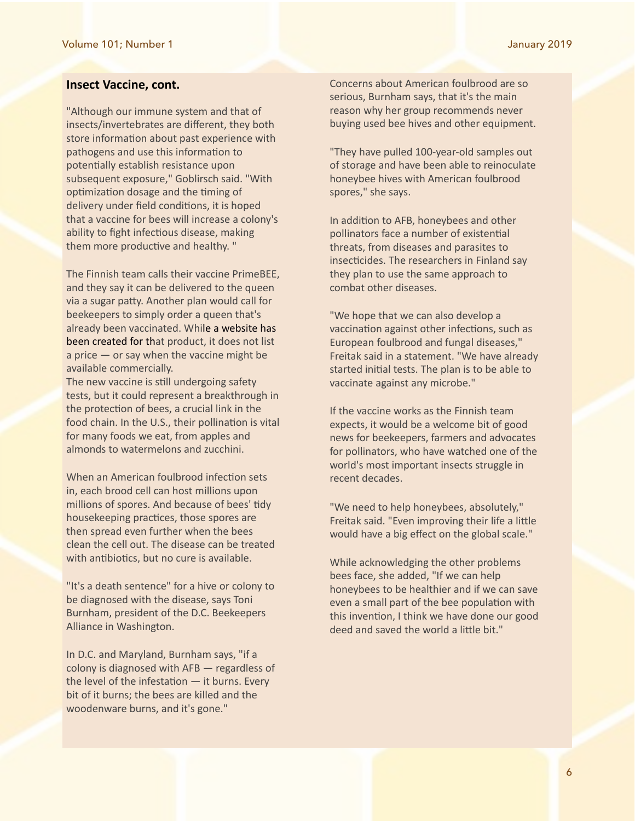#### **Insect Vaccine, cont.**

"Although our immune system and that of insects/invertebrates are different, they both store information about past experience with pathogens and use this information to potentially establish resistance upon subsequent exposure," Goblirsch said. "With optimization dosage and the timing of delivery under field conditions, it is hoped that a vaccine for bees will increase a colony's ability to fight infectious disease, making them more productive and healthy. "

The Finnish team calls their vaccine PrimeBEE, and they say it can be delivered to the queen via a sugar patty. Another plan would call for beekeepers to simply order a queen that's already been vaccinated. While a website has been created for that product, it does not list a price  $-$  or say when the vaccine might be available commercially.

The new vaccine is still undergoing safety tests, but it could represent a breakthrough in the protection of bees, a crucial link in the food chain. In the U.S., their pollination is vital for many foods we eat, from apples and almonds to watermelons and zucchini.

When an American foulbrood infection sets in, each brood cell can host millions upon millions of spores. And because of bees' tidy housekeeping practices, those spores are then spread even further when the bees clean the cell out. The disease can be treated with antibiotics, but no cure is available.

"It's a death sentence" for a hive or colony to be diagnosed with the disease, says Toni Burnham, president of the D.C. Beekeepers Alliance in Washington.

In D.C. and Maryland, Burnham says, "if a colony is diagnosed with  $AFB -$  regardless of the level of the infestation  $-$  it burns. Every bit of it burns; the bees are killed and the woodenware burns, and it's gone."

Concerns about American foulbrood are so serious, Burnham says, that it's the main reason why her group recommends never buying used bee hives and other equipment.

"They have pulled 100-year-old samples out of storage and have been able to reinoculate honeybee hives with American foulbrood spores," she says.

In addition to AFB, honeybees and other pollinators face a number of existential threats, from diseases and parasites to insecticides. The researchers in Finland say they plan to use the same approach to combat other diseases.

"We hope that we can also develop a vaccination against other infections, such as European foulbrood and fungal diseases," Freitak said in a statement. "We have already started initial tests. The plan is to be able to vaccinate against any microbe."

If the vaccine works as the Finnish team expects, it would be a welcome bit of good news for beekeepers, farmers and advocates for pollinators, who have watched one of the world's most important insects struggle in recent decades.

"We need to help honeybees, absolutely," Freitak said. "Even improving their life a little would have a big effect on the global scale."

While acknowledging the other problems bees face, she added, "If we can help honeybees to be healthier and if we can save even a small part of the bee population with this invention, I think we have done our good deed and saved the world a little bit."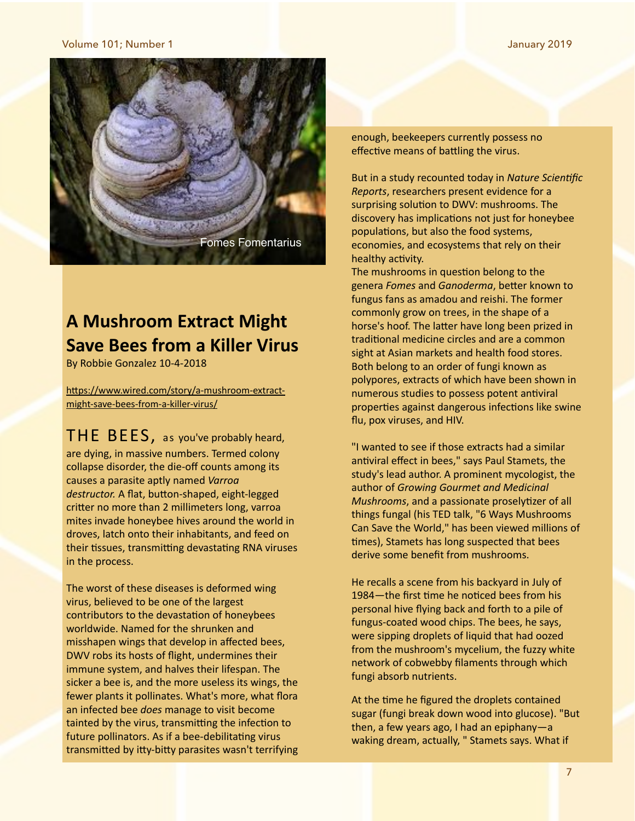#### Volume 101; Number 1 January 2019



### **A Mushroom Extract Might Save Bees from a Killer Virus**

By Robbie Gonzalez 10-4-2018

https://www.wired.com/story/a-mushroom-extract[might-save-bees-from-a-killer-virus/](https://www.wired.com/story/a-mushroom-extract-might-save-bees-from-a-killer-virus/)

 $THE BEES$ , as you've probably heard, are dying, in massive numbers. Termed colony collapse disorder, the die-off counts among its causes a parasite aptly named Varroa destructor. A flat, button-shaped, eight-legged critter no more than 2 millimeters long, varroa mites invade honeybee hives around the world in droves, latch onto their inhabitants, and feed on their tissues, transmitting devastating RNA viruses in the process.

The worst of these diseases is deformed wing virus, believed to be one of the largest contributors to the devastation of honeybees worldwide. Named for the shrunken and misshapen wings that develop in affected bees, DWV robs its hosts of flight, undermines their immune system, and halves their lifespan. The sicker a bee is, and the more useless its wings, the fewer plants it pollinates. What's more, what flora an infected bee *does* manage to visit become tainted by the virus, transmitting the infection to future pollinators. As if a bee-debilitating virus transmitted by itty-bitty parasites wasn't terrifying enough, beekeepers currently possess no effective means of battling the virus.

But in a study recounted today in *Nature Scientific [Reports](https://www.nature.com/articles/doi:10.1038/s41598-018-32194-8%22%20%5Ct%20%22_blank)*, researchers present evidence for a surprising solution to DWV: mushrooms. The discovery has implications not just for honeybee populations, but also the food systems, economies, and ecosystems that rely on their healthy activity.

The mushrooms in question belong to the genera Fomes and Ganoderma, better known to fungus fans as amadou and reishi. The former commonly grow on trees, in the shape of a horse's hoof. The latter have long been prized in traditional medicine circles and are a common sight at Asian markets and health food stores. Both belong to an order of fungi known as polypores, extracts of which have been shown in numerous studies to possess potent antiviral properties against dangerous infections like swine flu, pox viruses, and HIV.

"I wanted to see if those extracts had a similar antiviral effect in bees," says Paul Stamets, the study's lead author. A prominent mycologist, the author of *Growing Gourmet and Medicinal Mushrooms*, and a passionate proselytizer of all things fungal (his TED talk, "6 Ways Mushrooms Can Save the World," has been viewed millions of times), Stamets has long suspected that bees derive some benefit from mushrooms.

He recalls a scene from his backyard in July of 1984—the first time he noticed bees from his personal hive flying back and forth to a pile of fungus-coated wood chips. The bees, he says, were sipping droplets of liquid that had oozed from the mushroom's mycelium, the fuzzy white network of cobwebby filaments through which fungi absorb nutrients.

At the time he figured the droplets contained sugar (fungi break down wood into glucose). "But then, a few years ago, I had an epiphany—a waking dream, actually, " Stamets says. What if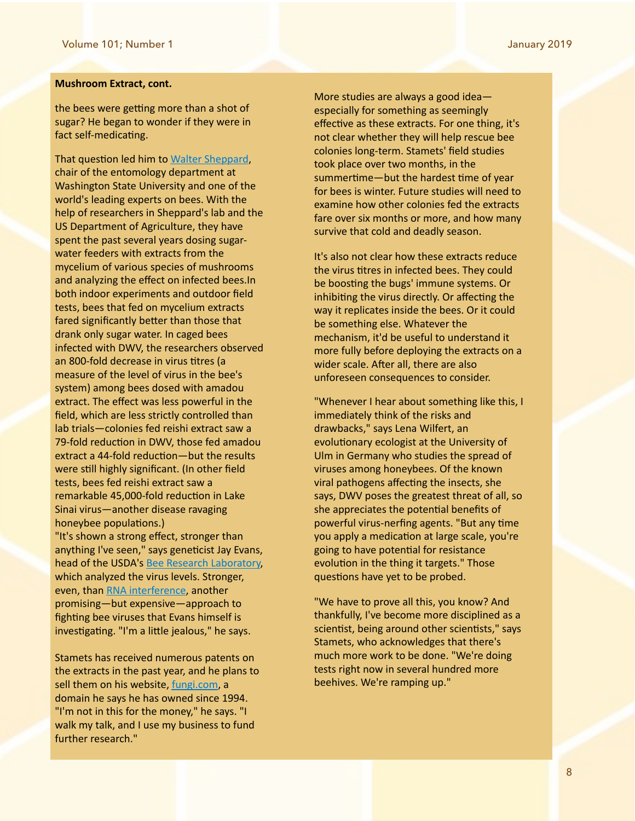#### **Mushroom Extract, cont.**

the bees were getting more than a shot of sugar? He began to wonder if they were in fact self-medicating.

That question led him to Walter Sheppard, chair of the entomology department at Washington State University and one of the world's leading experts on bees. With the help of researchers in Sheppard's lab and the US Department of Agriculture, they have spent the past several years dosing sugarwater feeders with extracts from the mycelium of various species of mushrooms and analyzing the effect on infected bees.In both indoor experiments and outdoor field tests, bees that fed on mycelium extracts fared significantly better than those that drank only sugar water. In caged bees infected with DWV, the researchers observed an 800-fold decrease in virus titres (a measure of the level of virus in the bee's system) among bees dosed with amadou extract. The effect was less powerful in the field, which are less strictly controlled than lab trials-colonies fed reishi extract saw a 79-fold reduction in DWV, those fed amadou extract a 44-fold reduction-but the results were still highly significant. (In other field tests, bees fed reishi extract saw a remarkable 45,000-fold reduction in Lake Sinai virus—another disease ravaging honeybee populations.) "It's shown a strong effect, stronger than anything I've seen," says geneticist Jay Evans, head of the USDA's Bee Research Laboratory, which analyzed the virus levels. Stronger, even, than RNA interference, another promising—but expensive—approach to fighting bee viruses that Evans himself is investigating. "I'm a little jealous," he says.

Stamets has received numerous patents on the extracts in the past year, and he plans to sell them on his website, fungi.com, a domain he says he has owned since 1994. "I'm not in this for the money," he says. "I walk my talk, and I use my business to fund further research."

More studies are always a good ideaespecially for something as seemingly effective as these extracts. For one thing, it's not clear whether they will help rescue bee colonies long-term. Stamets' field studies took place over two months, in the summertime—but the hardest time of year for bees is winter. Future studies will need to examine how other colonies fed the extracts fare over six months or more, and how many survive that cold and deadly season.

It's also not clear how these extracts reduce the virus titres in infected bees. They could be boosting the bugs' immune systems. Or inhibiting the virus directly. Or affecting the way it replicates inside the bees. Or it could be something else. Whatever the mechanism, it'd be useful to understand it more fully before deploying the extracts on a wider scale. After all, there are also unforeseen consequences to consider.

"Whenever I hear about something like this, I immediately think of the risks and drawbacks," says Lena Wilfert, an evolutionary ecologist at the University of Ulm in Germany who studies the spread of viruses among honeybees. Of the known viral pathogens affecting the insects, she says, DWV poses the greatest threat of all, so she appreciates the potential benefits of powerful virus-nerfing agents. "But any time you apply a medication at large scale, you're going to have potential for resistance evolution in the thing it targets." Those questions have yet to be probed.

"We have to prove all this, you know? And thankfully, I've become more disciplined as a scientist, being around other scientists," says Stamets, who acknowledges that there's much more work to be done. "We're doing tests right now in several hundred more beehives. We're ramping up."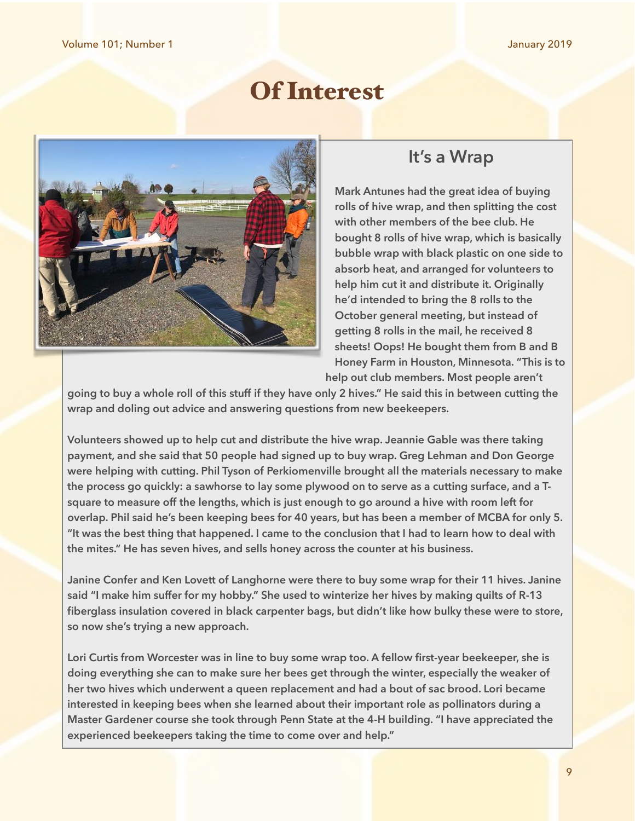# Of Interest



### **It's a Wrap**

**Mark Antunes had the great idea of buying rolls of hive wrap, and then splitting the cost with other members of the bee club. He bought 8 rolls of hive wrap, which is basically bubble wrap with black plastic on one side to absorb heat, and arranged for volunteers to help him cut it and distribute it. Originally he'd intended to bring the 8 rolls to the October general meeting, but instead of getting 8 rolls in the mail, he received 8 sheets! Oops! He bought them from B and B Honey Farm in Houston, Minnesota. "This is to help out club members. Most people aren't** 

**going to buy a whole roll of this stuff if they have only 2 hives." He said this in between cutting the wrap and doling out advice and answering questions from new beekeepers.** 

**Volunteers showed up to help cut and distribute the hive wrap. Jeannie Gable was there taking payment, and she said that 50 people had signed up to buy wrap. Greg Lehman and Don George were helping with cutting. Phil Tyson of Perkiomenville brought all the materials necessary to make the process go quickly: a sawhorse to lay some plywood on to serve as a cutting surface, and a Tsquare to measure off the lengths, which is just enough to go around a hive with room left for overlap. Phil said he's been keeping bees for 40 years, but has been a member of MCBA for only 5. "It was the best thing that happened. I came to the conclusion that I had to learn how to deal with the mites." He has seven hives, and sells honey across the counter at his business.** 

**Janine Confer and Ken Lovett of Langhorne were there to buy some wrap for their 11 hives. Janine said "I make him suffer for my hobby." She used to winterize her hives by making quilts of R-13 fiberglass insulation covered in black carpenter bags, but didn't like how bulky these were to store, so now she's trying a new approach.** 

**Lori Curtis from Worcester was in line to buy some wrap too. A fellow first-year beekeeper, she is doing everything she can to make sure her bees get through the winter, especially the weaker of her two hives which underwent a queen replacement and had a bout of sac brood. Lori became interested in keeping bees when she learned about their important role as pollinators during a Master Gardener course she took through Penn State at the 4-H building. "I have appreciated the experienced beekeepers taking the time to come over and help."**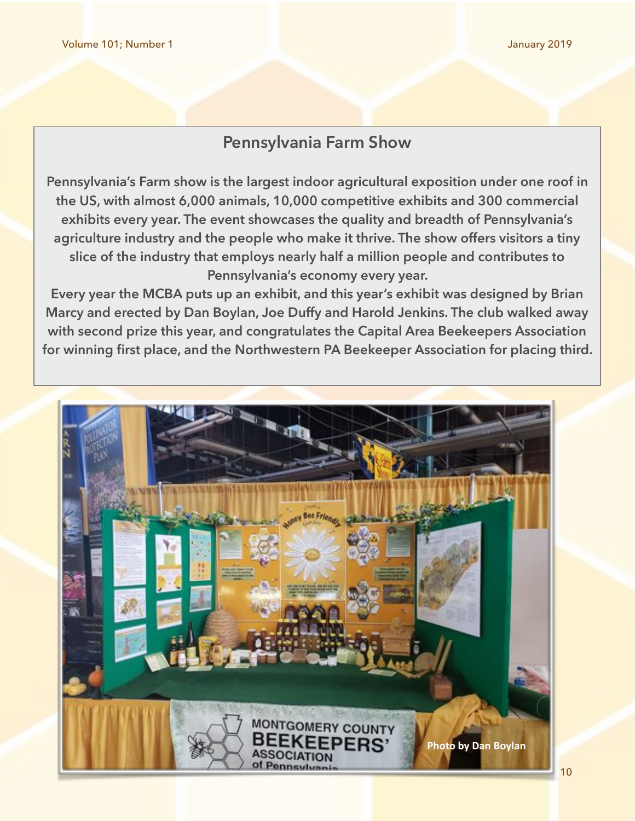### **Pennsylvania Farm Show**

**Pennsylvania's Farm show is the largest indoor agricultural exposition under one roof in the US, with almost 6,000 animals, 10,000 competitive exhibits and 300 commercial exhibits every year. The event showcases the quality and breadth of Pennsylvania's agriculture industry and the people who make it thrive. The show offers visitors a tiny slice of the industry that employs nearly half a million people and contributes to Pennsylvania's economy every year.** 

**Every year the MCBA puts up an exhibit, and this year's exhibit was designed by Brian Marcy and erected by Dan Boylan, Joe Duffy and Harold Jenkins. The club walked away with second prize this year, and congratulates the Capital Area Beekeepers Association for winning first place, and the Northwestern PA Beekeeper Association for placing third.** 

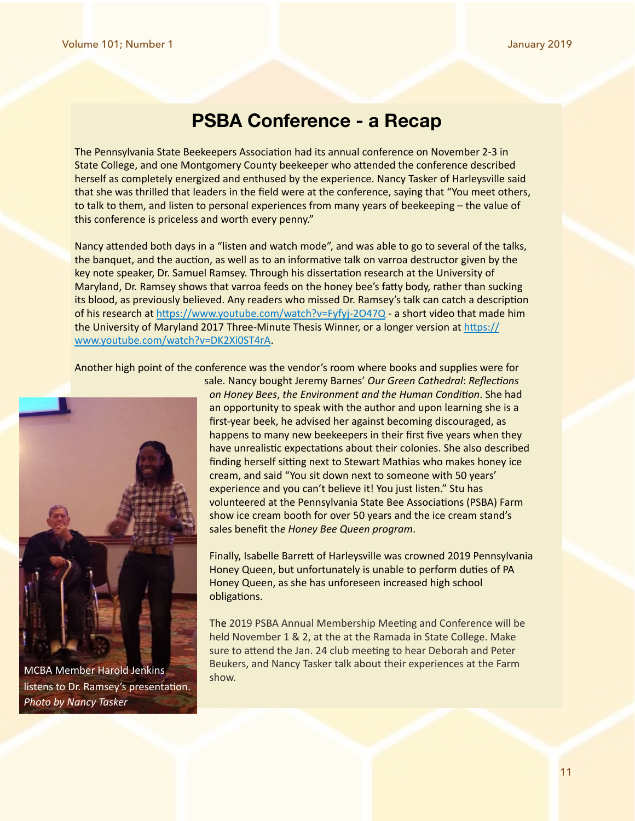### **PSBA Conference - a Recap**

The Pennsylvania State Beekeepers Association had its annual conference on November 2-3 in State College, and one Montgomery County beekeeper who attended the conference described herself as completely energized and enthused by the experience. Nancy Tasker of Harleysville said that she was thrilled that leaders in the field were at the conference, saying that "You meet others, to talk to them, and listen to personal experiences from many years of beekeeping – the value of this conference is priceless and worth every penny."

Nancy attended both days in a "listen and watch mode", and was able to go to several of the talks, the banquet, and the auction, as well as to an informative talk on varroa destructor given by the key note speaker, Dr. Samuel Ramsey. Through his dissertation research at the University of Maryland, Dr. Ramsey shows that varroa feeds on the honey bee's fatty body, rather than sucking its blood, as previously believed. Any readers who missed Dr. Ramsey's talk can catch a description of his research at https://www.youtube.com/watch?v=Fyfyj-2O47Q - a short video that made him the University of Maryland 2017 Three-Minute Thesis Winner, or a longer version at https:// [www.youtube.com/watch?v=DK2Xi0ST4rA](https://www.youtube.com/watch?v=DK2Xi0ST4rA). 

Another high point of the conference was the vendor's room where books and supplies were for



MCBA Member Harold Jenkins **Show.** Show. listens to Dr. Ramsey's presentation. **Photo by Nancy Tasker** 

sale. Nancy bought Jeremy Barnes' *Our Green Cathedral*: *Reflec1ons on* Honey Bees, the Environment and the Human Condition. She had an opportunity to speak with the author and upon learning she is a first-year beek, he advised her against becoming discouraged, as happens to many new beekeepers in their first five years when they have unrealistic expectations about their colonies. She also described finding herself sitting next to Stewart Mathias who makes honey ice cream, and said "You sit down next to someone with 50 years' experience and you can't believe it! You just listen." Stu has volunteered at the Pennsylvania State Bee Associations (PSBA) Farm show ice cream booth for over 50 years and the ice cream stand's sales benefit the Honey Bee Queen program.

Finally, Isabelle Barrett of Harleysville was crowned 2019 Pennsylvania Honey Queen, but unfortunately is unable to perform duties of PA Honey Queen, as she has unforeseen increased high school obligations.

The 2019 PSBA Annual Membership Meeting and Conference will be held November 1 & 2, at the at the Ramada in State College. Make sure to attend the Jan. 24 club meeting to hear Deborah and Peter Beukers, and Nancy Tasker talk about their experiences at the Farm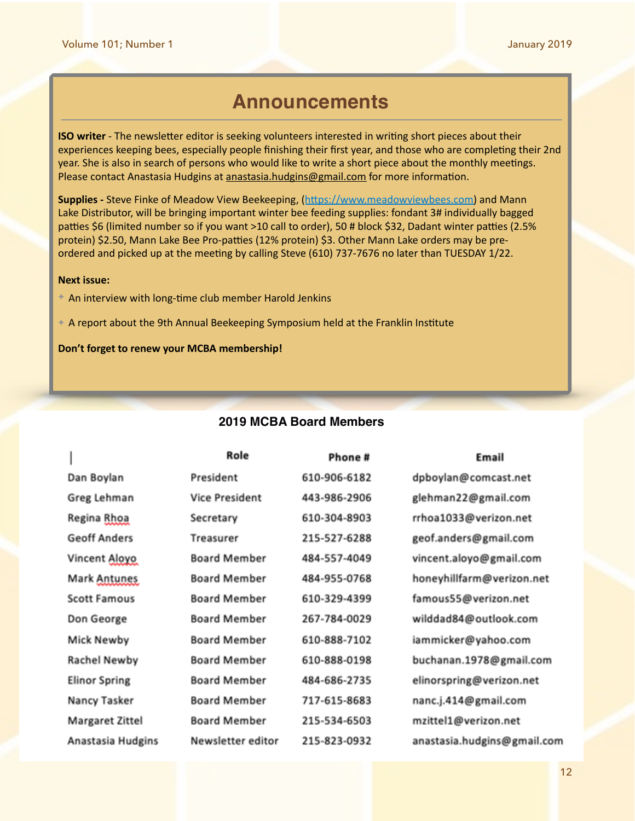### **Announcements**

**ISO** writer - The newsletter editor is seeking volunteers interested in writing short pieces about their experiences keeping bees, especially people finishing their first year, and those who are completing their 2nd year. She is also in search of persons who would like to write a short piece about the monthly meetings. Please contact Anastasia Hudgins at anastasia.hudgins@gmail.com for more information.

**Supplies** - Steve Finke of Meadow View Beekeeping, (https://www.meadowviewbees.com) and Mann Lake Distributor, will be bringing important winter bee feeding supplies: fondant 3# individually bagged patties \$6 (limited number so if you want >10 call to order), 50 # block \$32, Dadant winter patties (2.5% protein) \$2.50, Mann Lake Bee Pro-patties (12% protein) \$3. Other Mann Lake orders may be preordered and picked up at the meeting by calling Steve (610) 737-7676 no later than TUESDAY 1/22.

#### **Next issue:**

- ← An interview with long-time club member Harold Jenkins
- $\div$  A report about the 9th Annual Beekeeping Symposium held at the Franklin Institute

Don't forget to renew your MCBA membership!

### **2019 MCBA Board Members**

|                      | Role                  | Phone #      | Email                       |
|----------------------|-----------------------|--------------|-----------------------------|
| Dan Boylan           | President             | 610-906-6182 | dpboylan@comcast.net        |
| Greg Lehman          | <b>Vice President</b> | 443-986-2906 | glehman22@gmail.com         |
| Regina Rhoa          | Secretary             | 610-304-8903 | rrhoa1033@verizon.net       |
| <b>Geoff Anders</b>  | Treasurer             | 215-527-6288 | geof.anders@gmail.com       |
| Vincent Aloyo        | <b>Board Member</b>   | 484-557-4049 | vincent.aloyo@gmail.com     |
| Mark Antunes         | <b>Board Member</b>   | 484-955-0768 | honeyhillfarm@verizon.net   |
| <b>Scott Famous</b>  | <b>Board Member</b>   | 610-329-4399 | famous55@verizon.net        |
| Don George           | <b>Board Member</b>   | 267-784-0029 | wilddad84@outlook.com       |
| Mick Newby           | <b>Board Member</b>   | 610-888-7102 | iammicker@yahoo.com         |
| <b>Rachel Newby</b>  | <b>Board Member</b>   | 610-888-0198 | buchanan.1978@gmail.com     |
| <b>Elinor Spring</b> | <b>Board Member</b>   | 484-686-2735 | elinorspring@verizon.net    |
| Nancy Tasker         | <b>Board Member</b>   | 717-615-8683 | nanc.j.414@gmail.com        |
| Margaret Zittel      | <b>Board Member</b>   | 215-534-6503 | mzittel1@verizon.net        |
| Anastasia Hudgins    | Newsletter editor     | 215-823-0932 | anastasia.hudgins@gmail.com |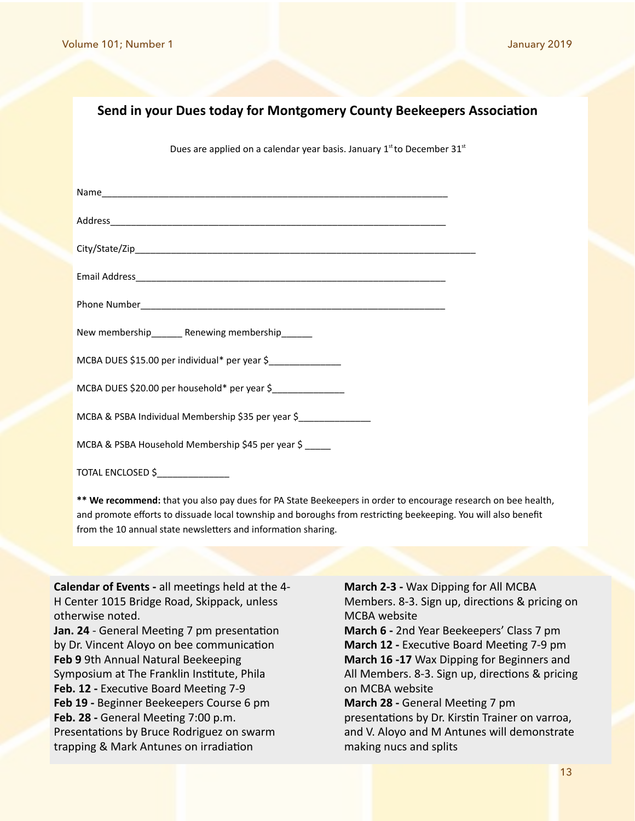### **Send in your Dues today for Montgomery County Beekeepers Association**

Dues are applied on a calendar year basis. January  $1<sup>st</sup>$  to December  $31<sup>st</sup>$ 

| New membership_______ Renewing membership______              |  |
|--------------------------------------------------------------|--|
| MCBA DUES \$15.00 per individual* per year \$_______________ |  |
| MCBA DUES \$20.00 per household* per year \$_______________  |  |
| MCBA & PSBA Individual Membership \$35 per year \$           |  |
| MCBA & PSBA Household Membership \$45 per year \$            |  |
| TOTAL ENCLOSED \$_______________                             |  |

\*\* We recommend: that you also pay dues for PA State Beekeepers in order to encourage research on bee health, and promote efforts to dissuade local township and boroughs from restricting beekeeping. You will also benefit from the 10 annual state newsletters and information sharing.

**Calendar of Events** - all meetings held at the 4-H Center 1015 Bridge Road, Skippack, unless otherwise noted.

**Jan. 24** - General Meeting 7 pm presentation by Dr. Vincent Aloyo on bee communication **Feb 9** 9th Annual Natural Beekeeping Symposium at The Franklin Institute, Phila **Feb. 12 - Executive Board Meeting 7-9 Feb 19 -** Beginner Beekeepers Course 6 pm **Feb. 28 - General Meeting 7:00 p.m.** Presentations by Bruce Rodriguez on swarm trapping & Mark Antunes on irradiation

**March 2-3 - Wax Dipping for All MCBA** Members. 8-3. Sign up, directions & pricing on MCBA website

**March 6** - 2nd Year Beekeepers' Class 7 pm **March 12 - Executive Board Meeting 7-9 pm March 16 -17** Wax Dipping for Beginners and All Members. 8-3. Sign up, directions & pricing on MCBA website 

**March 28 - General Meeting 7 pm** presentations by Dr. Kirstin Trainer on varroa, and V. Aloyo and M Antunes will demonstrate making nucs and splits